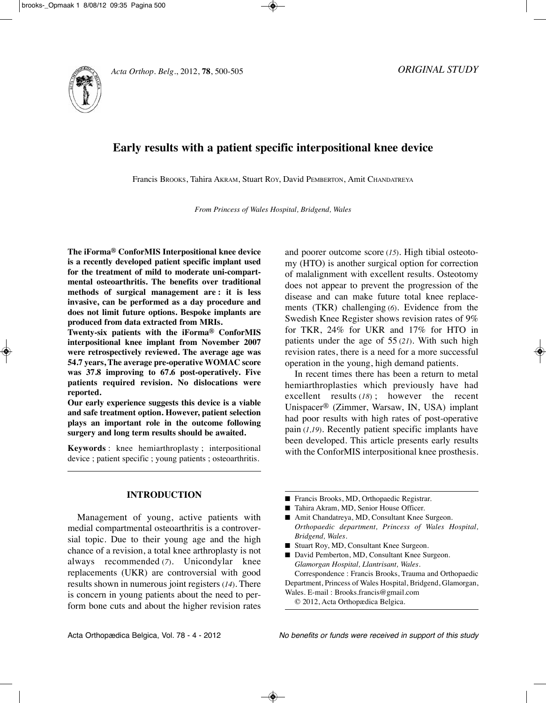

# **Early results with a patient specific interpositional knee device**

Francis BROOKS, Tahira AKRAM, Stuart ROy, David PEMBERTOn, Amit CHAnDATREyA

*From Princess of Wales Hospital, Bridgend, Wales*

**The iForma® ConforMIS Interpositional knee device is a recently developed patient specific implant used for the treatment of mild to moderate uni-compartmental osteoarthritis. The benefits over traditional methods of surgical management are : it is less invasive, can be performed as a day procedure and does not limit future options. Bespoke implants are produced from data extracted from MRIs.**

**Twenty-six patients with the iForma® ConforMIS interpositional knee implant from November 2007 were retrospectively reviewed. The average age was 54.7 years, The average pre-operative WOMAC score was 37.8 improving to 67.6 post-operatively. Five patients required revision. No dislocations were reported.**

**Our early experience suggests this device is a viable and safe treatment option. However, patient selection plays an important role in the outcome following surgery and long term results should be awaited.**

**Keywords** : knee hemiarthroplasty ; interpositional device ; patient specific ; young patients ; osteoarthritis.

## **INTRODUCTION**

Management of young, active patients with medial compartmental osteoarthritis is a controversial topic. Due to their young age and the high chance of a revision, a total knee arthroplasty is not always recommended (*7*). Unicondylar knee replacements (UKR) are controversial with good results shown in numerous joint registers (*14*). There is concern in young patients about the need to perform bone cuts and about the higher revision rates and poorer outcome score (*15*). High tibial osteotomy (HTO) is another surgical option for correction of malalignment with excellent results. Osteotomy does not appear to prevent the progression of the disease and can make future total knee replacements (TKR) challenging (*6*). Evidence from the Swedish Knee Register shows revision rates of 9% for TKR, 24% for UKR and 17% for HTO in patients under the age of 55 (*21*). With such high revision rates, there is a need for a more successful operation in the young, high demand patients.

In recent times there has been a return to metal hemiarthroplasties which previously have had excellent results (*18*) ; however the recent Unispacer<sup>®</sup> (Zimmer, Warsaw, IN, USA) implant had poor results with high rates of post-operative pain (*1,19*). Recently patient specific implants have been developed. This article presents early results with the ConforMIS interpositional knee prosthesis.

- Francis Brooks, MD, Orthopaedic Registrar.
- Tahira Akram, MD, Senior House Officer.
- Amit Chandatreya, MD, Consultant Knee Surgeon. *Orthopaedic department, Princess of Wales Hospital, Bridgend, Wales.*
- Stuart Roy, MD, Consultant Knee Surgeon.
- David Pemberton, MD, Consultant Knee Surgeon. *Glamorgan Hospital, Llantrisant, Wales.*

Correspondence : Francis Brooks, Trauma and Orthopaedic Department, Princess of Wales Hospital, Bridgend, Glamorgan, Wales. E-mail : Brooks.francis@gmail.com

© 2012, Acta Orthopædica Belgica.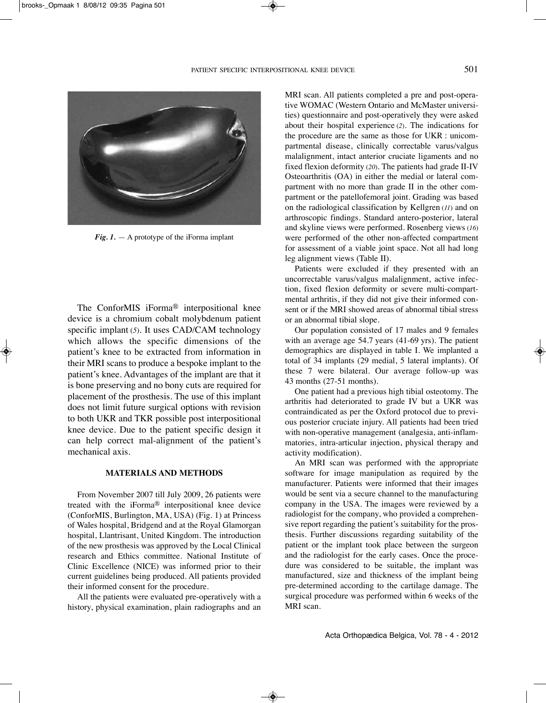

*Fig. 1.* — A prototype of the iForma implant

The ConforMIS iForma® interpositional knee device is a chromium cobalt molybdenum patient specific implant (5). It uses CAD/CAM technology which allows the specific dimensions of the patient's knee to be extracted from information in their MRI scans to produce a bespoke implant to the patient's knee. Advantages of the implant are that it is bone preserving and no bony cuts are required for placement of the prosthesis. The use of this implant does not limit future surgical options with revision to both UKR and TKR possible post interpositional knee device. Due to the patient specific design it can help correct mal-alignment of the patient's mechanical axis.

#### **MATERIALS AND METHODS**

From november 2007 till July 2009, 26 patients were treated with the iForma® interpositional knee device (ConforMIS, Burlington, MA, USA) (Fig. 1) at Princess of Wales hospital, Bridgend and at the Royal Glamorgan hospital, Llantrisant, United Kingdom. The introduction of the new prosthesis was approved by the Local Clinical research and Ethics committee. National Institute of Clinic Excellence (nICE) was informed prior to their current guidelines being produced. All patients provided their informed consent for the procedure.

All the patients were evaluated pre-operatively with a history, physical examination, plain radiographs and an MRI scan. All patients completed a pre and post-operative WOMAC (Western Ontario and McMaster universities) questionnaire and post-operatively they were asked about their hospital experience (*2*). The indications for the procedure are the same as those for UKR : unicompartmental disease, clinically correctable varus/valgus malalignment, intact anterior cruciate ligaments and no fixed flexion deformity (*20*). The patients had grade II-IV Osteoarthritis (OA) in either the medial or lateral compartment with no more than grade II in the other compartment or the patellofemoral joint. Grading was based on the radiological classification by Kellgren (*11*) and on arthroscopic findings. Standard antero-posterior, lateral and skyline views were performed. Rosenberg views (*16*) were performed of the other non-affected compartment for assessment of a viable joint space. Not all had long leg alignment views (Table II).

Patients were excluded if they presented with an uncorrectable varus/valgus malalignment, active infection, fixed flexion deformity or severe multi-compartmental arthritis, if they did not give their informed consent or if the MRI showed areas of abnormal tibial stress or an abnormal tibial slope.

Our population consisted of 17 males and 9 females with an average age 54.7 years (41-69 yrs). The patient demographics are displayed in table I. We implanted a total of 34 implants (29 medial, 5 lateral implants). Of these 7 were bilateral. Our average follow-up was 43 months (27-51 months).

One patient had a previous high tibial osteotomy. The arthritis had deteriorated to grade IV but a UKR was contraindicated as per the Oxford protocol due to previous posterior cruciate injury. All patients had been tried with non-operative management (analgesia, anti-inflammatories, intra-articular injection, physical therapy and activity modification).

An MRI scan was performed with the appropriate software for image manipulation as required by the manufacturer. Patients were informed that their images would be sent via a secure channel to the manufacturing company in the USA. The images were reviewed by a radiologist for the company, who provided a comprehensive report regarding the patient's suitability for the prosthesis. Further discussions regarding suitability of the patient or the implant took place between the surgeon and the radiologist for the early cases. Once the procedure was considered to be suitable, the implant was manufactured, size and thickness of the implant being pre-determined according to the cartilage damage. The surgical procedure was performed within 6 weeks of the MRI scan.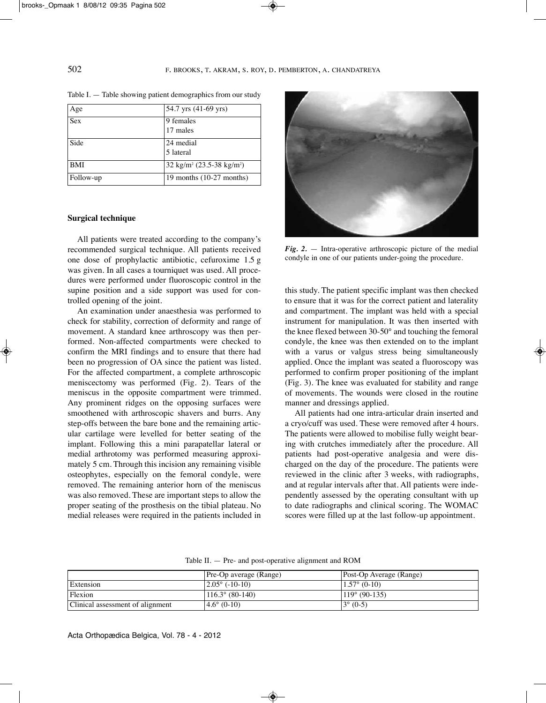| Age        | 54.7 yrs (41-69 yrs)                         |  |
|------------|----------------------------------------------|--|
| Sex        | 9 females<br>17 males                        |  |
| Side       | 24 medial<br>5 lateral                       |  |
| <b>BMI</b> | $32 \text{ kg/m}^2 (23.5-38 \text{ kg/m}^2)$ |  |
| Follow-up  | 19 months $(10-27 \text{ months})$           |  |

Table I. — Table showing patient demographics from our study

#### **Surgical technique**

All patients were treated according to the company's recommended surgical technique. All patients received one dose of prophylactic antibiotic, cefuroxime 1.5 g was given. In all cases a tourniquet was used. All procedures were performed under fluoroscopic control in the supine position and a side support was used for controlled opening of the joint.

An examination under anaesthesia was performed to check for stability, correction of deformity and range of movement. A standard knee arthroscopy was then performed. Non-affected compartments were checked to confirm the MRI findings and to ensure that there had been no progression of OA since the patient was listed. For the affected compartment, a complete arthroscopic meniscectomy was performed (Fig. 2). Tears of the meniscus in the opposite compartment were trimmed. Any prominent ridges on the opposing surfaces were smoothened with arthroscopic shavers and burrs. Any step-offs between the bare bone and the remaining articular cartilage were levelled for better seating of the implant. Following this a mini parapatellar lateral or medial arthrotomy was performed measuring approximately 5 cm. Through this incision any remaining visible osteophytes, especially on the femoral condyle, were removed. The remaining anterior horn of the meniscus was also removed. These are important steps to allow the proper seating of the prosthesis on the tibial plateau. No medial releases were required in the patients included in



*Fig. 2.* — Intra-operative arthroscopic picture of the medial condyle in one of our patients under-going the procedure.

this study. The patient specific implant was then checked to ensure that it was for the correct patient and laterality and compartment. The implant was held with a special instrument for manipulation. It was then inserted with the knee flexed between 30-50° and touching the femoral condyle, the knee was then extended on to the implant with a varus or valgus stress being simultaneously applied. Once the implant was seated a fluoroscopy was performed to confirm proper positioning of the implant (Fig. 3). The knee was evaluated for stability and range of movements. The wounds were closed in the routine manner and dressings applied.

All patients had one intra-articular drain inserted and a cryo/cuff was used. These were removed after 4 hours. The patients were allowed to mobilise fully weight bearing with crutches immediately after the procedure. All patients had post-operative analgesia and were discharged on the day of the procedure. The patients were reviewed in the clinic after 3 weeks, with radiographs, and at regular intervals after that. All patients were independently assessed by the operating consultant with up to date radiographs and clinical scoring. The WOMAC scores were filled up at the last follow-up appointment.

|                                  | Pre-Op average (Range)   | Post-Op Average (Range) |
|----------------------------------|--------------------------|-------------------------|
| Extension                        | $ 2.05^{\circ}$ (-10-10) | $1.57^{\circ}$ (0-10)   |
| Flexion                          | $116.3^{\circ}$ (80-140) | $119^{\circ}$ (90-135)  |
| Clinical assessment of alignment | $ 4.6^{\circ} (0.10) $   | $3^{\circ}$ (0-5)       |

Table II. — Pre- and post-operative alignment and ROM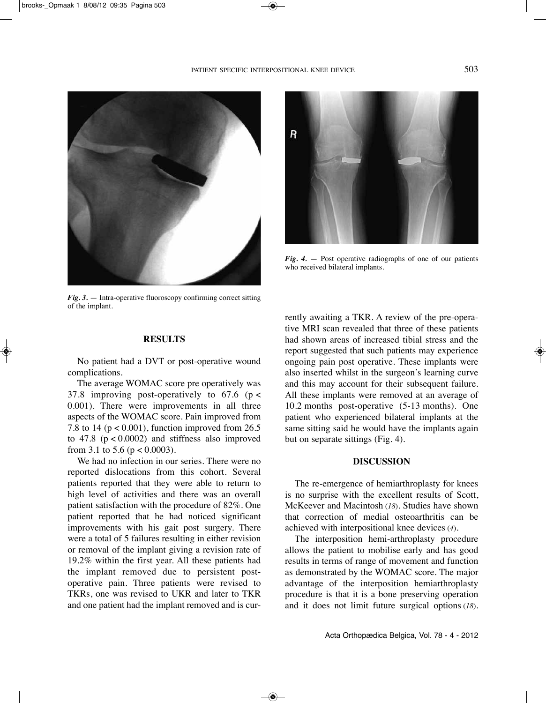

*Fig. 3.* — Intra-operative fluoroscopy confirming correct sitting of the implant.



*Fig. 4.* — Post operative radiographs of one of our patients who received bilateral implants.

#### **RESULTS**

No patient had a DVT or post-operative wound complications.

The average WOMAC score pre operatively was 37.8 improving post-operatively to  $67.6$  ( $p <$ 0.001). There were improvements in all three aspects of the WOMAC score. Pain improved from 7.8 to 14 ( $p < 0.001$ ), function improved from 26.5 to  $47.8$  ( $p < 0.0002$ ) and stiffness also improved from 3.1 to 5.6 ( $p < 0.0003$ ).

We had no infection in our series. There were no reported dislocations from this cohort. Several patients reported that they were able to return to high level of activities and there was an overall patient satisfaction with the procedure of 82%. One patient reported that he had noticed significant improvements with his gait post surgery. There were a total of 5 failures resulting in either revision or removal of the implant giving a revision rate of 19.2% within the first year. All these patients had the implant removed due to persistent postoperative pain. Three patients were revised to TKRs, one was revised to UKR and later to TKR and one patient had the implant removed and is currently awaiting a TKR. A review of the pre-operative MRI scan revealed that three of these patients had shown areas of increased tibial stress and the report suggested that such patients may experience ongoing pain post operative. These implants were also inserted whilst in the surgeon's learning curve and this may account for their subsequent failure. All these implants were removed at an average of 10.2 months post-operative (5-13 months). One patient who experienced bilateral implants at the same sitting said he would have the implants again but on separate sittings (Fig. 4).

## **DISCUSSION**

The re-emergence of hemiarthroplasty for knees is no surprise with the excellent results of Scott, McKeever and Macintosh (*18*). Studies have shown that correction of medial osteoarthritis can be achieved with interpositional knee devices (*4*).

The interposition hemi-arthroplasty procedure allows the patient to mobilise early and has good results in terms of range of movement and function as demonstrated by the WOMAC score. The major advantage of the interposition hemiarthroplasty procedure is that it is a bone preserving operation and it does not limit future surgical options (*18*).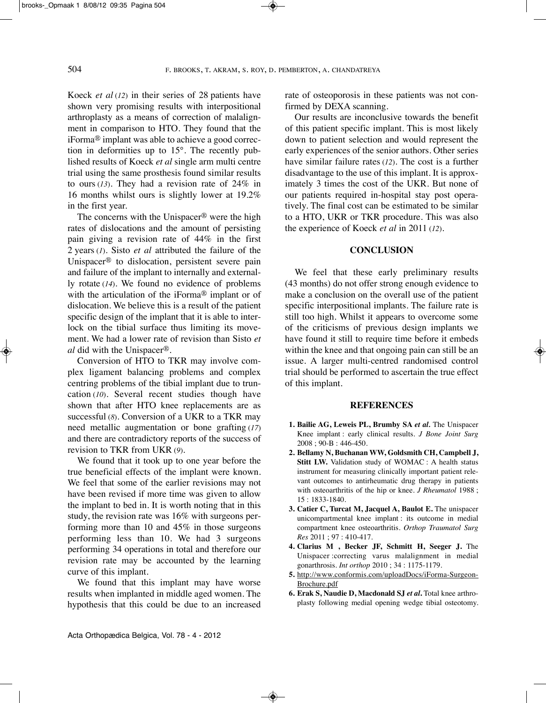Koeck *et al* (*12*) in their series of 28 patients have shown very promising results with interpositional arthroplasty as a means of correction of malalignment in comparison to HTO. They found that the iForma® implant was able to achieve a good correction in deformities up to 15°. The recently published results of Koeck *et al* single arm multi centre trial using the same prosthesis found similar results to ours (*13*). They had a revision rate of 24% in 16 months whilst ours is slightly lower at 19.2% in the first year.

The concerns with the Unispacer® were the high rates of dislocations and the amount of persisting pain giving a revision rate of 44% in the first 2 years (*1*). Sisto *et al* attributed the failure of the Unispacer® to dislocation, persistent severe pain and failure of the implant to internally and externally rotate (*14*). We found no evidence of problems with the articulation of the iForma® implant or of dislocation. We believe this is a result of the patient specific design of the implant that it is able to interlock on the tibial surface thus limiting its movement. We had a lower rate of revision than Sisto *et al* did with the Unispacer®.

Conversion of HTO to TKR may involve complex ligament balancing problems and complex centring problems of the tibial implant due to truncation (*10*). Several recent studies though have shown that after HTO knee replacements are as successful (*8*). Conversion of a UKR to a TKR may need metallic augmentation or bone grafting (*17*) and there are contradictory reports of the success of revision to TKR from UKR (*9*).

We found that it took up to one year before the true beneficial effects of the implant were known. We feel that some of the earlier revisions may not have been revised if more time was given to allow the implant to bed in. It is worth noting that in this study, the revision rate was 16% with surgeons performing more than 10 and 45% in those surgeons performing less than 10. We had 3 surgeons performing 34 operations in total and therefore our revision rate may be accounted by the learning curve of this implant.

We found that this implant may have worse results when implanted in middle aged women. The hypothesis that this could be due to an increased rate of osteoporosis in these patients was not confirmed by DEXA scanning.

Our results are inconclusive towards the benefit of this patient specific implant. This is most likely down to patient selection and would represent the early experiences of the senior authors. Other series have similar failure rates (*12*). The cost is a further disadvantage to the use of this implant. It is approximately 3 times the cost of the UKR. But none of our patients required in-hospital stay post operatively. The final cost can be estimated to be similar to a HTO, UKR or TKR procedure. This was also the experience of Koeck *et al* in 2011 (*12*).

### **CONCLUSION**

We feel that these early preliminary results (43 months) do not offer strong enough evidence to make a conclusion on the overall use of the patient specific interpositional implants. The failure rate is still too high. Whilst it appears to overcome some of the criticisms of previous design implants we have found it still to require time before it embeds within the knee and that ongoing pain can still be an issue. A larger multi-centred randomised control trial should be performed to ascertain the true effect of this implant.

#### **REFERENCES**

- **1. Bailie AG, Leweis PL, Brumby SA** *et al.* The Unispacer Knee implant : early clinical results. *J Bone Joint Surg* 2008 ; 90-B : 446-450.
- **2. Bellamy N, Buchanan WW, Goldsmith CH, Campbell J, Stitt LW.** Validation study of WOMAC : A health status instrument for measuring clinically important patient relevant outcomes to antirheumatic drug therapy in patients with osteoarthritis of the hip or knee. *J Rheumatol* 1988 ; 15 : 1833-1840.
- **3. Catier C, Turcat M, Jacquel A, Baulot E.** The unispacer unicompartmental knee implant : its outcome in medial compartment knee osteoarthritis. *Orthop Traumatol Surg Res* 2011 ; 97 : 410-417.
- **4. Clarius M , Becker JF, Schmitt H, Seeger J.** The Unispacer :correcting varus malalignment in medial gonarthrosis. *Int orthop* 2010 ; 34 : 1175-1179.
- **5.** http://www.conformis.com/uploadDocs/iForma-Surgeon-Brochure.pdf
- **6. Erak S, Naudie D, Macdonald SJ** *et al***.** Total knee arthroplasty following medial opening wedge tibial osteotomy.